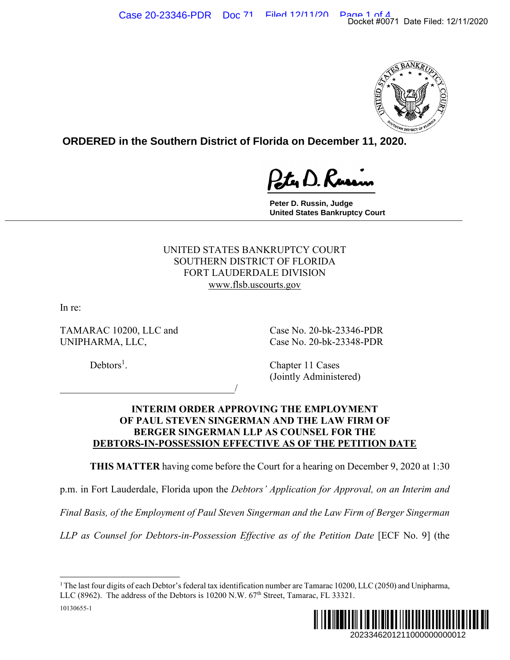

**ORDERED in the Southern District of Florida on December 11, 2020.**

**Peter D. Russin, Judge United States Bankruptcy Court \_\_\_\_\_\_\_\_\_\_\_\_\_\_\_\_\_\_\_\_\_\_\_\_\_\_\_\_\_\_\_\_\_\_\_\_\_\_\_\_\_\_\_\_\_\_\_\_\_\_\_\_\_\_\_\_\_\_\_\_\_\_\_\_\_\_\_\_\_\_\_\_\_\_\_\_\_**

> UNITED STATES BANKRUPTCY COURT SOUTHERN DISTRICT OF FLORIDA FORT LAUDERDALE DIVISION www.flsb.uscourts.gov

In re:

10130655-1

TAMARAC 10200, LLC and Case No. 20-bk-23346-PDR UNIPHARMA, LLC, Case No. 20-bk-23348-PDR

 $\overline{\phantom{a}}$ 

 $Debtors<sup>1</sup>$ .

. Chapter 11 Cases (Jointly Administered)

# **INTERIM ORDER APPROVING THE EMPLOYMENT OF PAUL STEVEN SINGERMAN AND THE LAW FIRM OF BERGER SINGERMAN LLP AS COUNSEL FOR THE DEBTORS-IN-POSSESSION EFFECTIVE AS OF THE PETITION DATE**

**THIS MATTER** having come before the Court for a hearing on December 9, 2020 at 1:30

p.m. in Fort Lauderdale, Florida upon the *Debtors' Application for Approval, on an Interim and* 

*Final Basis, of the Employment of Paul Steven Singerman and the Law Firm of Berger Singerman* 

*LLP as Counsel for Debtors-in-Possession Effective as of the Petition Date* [ECF No. 9] (the

<sup>&</sup>lt;sup>1</sup> The last four digits of each Debtor's federal tax identification number are Tamarac 10200, LLC (2050) and Unipharma, LLC (8962). The address of the Debtors is  $10200$  N.W.  $67<sup>th</sup>$  Street, Tamarac, FL 33321.

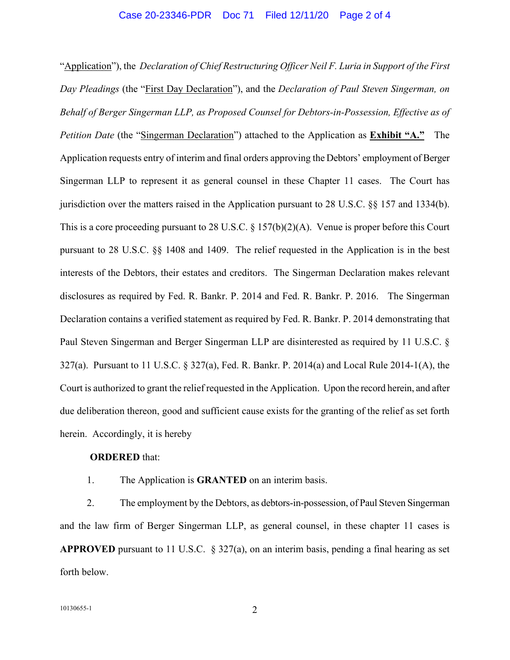#### Case 20-23346-PDR Doc 71 Filed 12/11/20 Page 2 of 4

"Application"), the *Declaration of Chief Restructuring Officer Neil F. Luria in Support of the First Day Pleadings* (the "First Day Declaration"), and the *Declaration of Paul Steven Singerman, on Behalf of Berger Singerman LLP, as Proposed Counsel for Debtors-in-Possession, Effective as of Petition Date* (the "Singerman Declaration") attached to the Application as **Exhibit "A."** The Application requests entry of interim and final orders approving the Debtors' employment of Berger Singerman LLP to represent it as general counsel in these Chapter 11 cases. The Court has jurisdiction over the matters raised in the Application pursuant to 28 U.S.C. §§ 157 and 1334(b). This is a core proceeding pursuant to 28 U.S.C. § 157(b)(2)(A). Venue is proper before this Court pursuant to 28 U.S.C. §§ 1408 and 1409. The relief requested in the Application is in the best interests of the Debtors, their estates and creditors. The Singerman Declaration makes relevant disclosures as required by Fed. R. Bankr. P. 2014 and Fed. R. Bankr. P. 2016. The Singerman Declaration contains a verified statement as required by Fed. R. Bankr. P. 2014 demonstrating that Paul Steven Singerman and Berger Singerman LLP are disinterested as required by 11 U.S.C. § 327(a). Pursuant to 11 U.S.C. § 327(a), Fed. R. Bankr. P. 2014(a) and Local Rule 2014-1(A), the Court is authorized to grant the relief requested in the Application. Upon the record herein, and after due deliberation thereon, good and sufficient cause exists for the granting of the relief as set forth herein. Accordingly, it is hereby

## **ORDERED** that:

1. The Application is **GRANTED** on an interim basis.

2. The employment by the Debtors, as debtors-in-possession, of Paul Steven Singerman and the law firm of Berger Singerman LLP, as general counsel, in these chapter 11 cases is **APPROVED** pursuant to 11 U.S.C. § 327(a), on an interim basis, pending a final hearing as set forth below.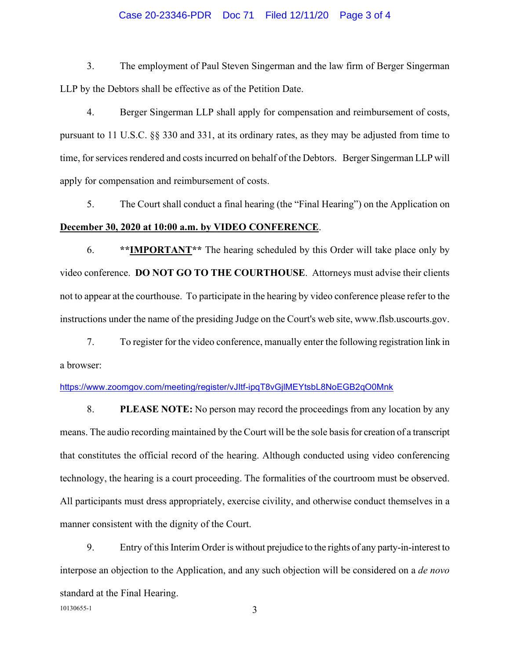### Case 20-23346-PDR Doc 71 Filed 12/11/20 Page 3 of 4

3. The employment of Paul Steven Singerman and the law firm of Berger Singerman LLP by the Debtors shall be effective as of the Petition Date.

4. Berger Singerman LLP shall apply for compensation and reimbursement of costs, pursuant to 11 U.S.C. §§ 330 and 331, at its ordinary rates, as they may be adjusted from time to time, for services rendered and costs incurred on behalf of the Debtors. Berger Singerman LLP will apply for compensation and reimbursement of costs.

5. The Court shall conduct a final hearing (the "Final Hearing") on the Application on **December 30, 2020 at 10:00 a.m. by VIDEO CONFERENCE**.

6. **\*\*IMPORTANT\*\*** The hearing scheduled by this Order will take place only by video conference. **DO NOT GO TO THE COURTHOUSE**. Attorneys must advise their clients not to appear at the courthouse. To participate in the hearing by video conference please refer to the instructions under the name of the presiding Judge on the Court's web site, www.flsb.uscourts.gov.

7. To register for the video conference, manually enter the following registration link in a browser:

### https://www.zoomgov.com/meeting/register/vJItf-ipqT8vGjlMEYtsbL8NoEGB2qO0Mnk

8. **PLEASE NOTE:** No person may record the proceedings from any location by any means. The audio recording maintained by the Court will be the sole basis for creation of a transcript that constitutes the official record of the hearing. Although conducted using video conferencing technology, the hearing is a court proceeding. The formalities of the courtroom must be observed. All participants must dress appropriately, exercise civility, and otherwise conduct themselves in a manner consistent with the dignity of the Court.

9. Entry of this Interim Order is without prejudice to the rights of any party-in-interest to interpose an objection to the Application, and any such objection will be considered on a *de novo* standard at the Final Hearing.